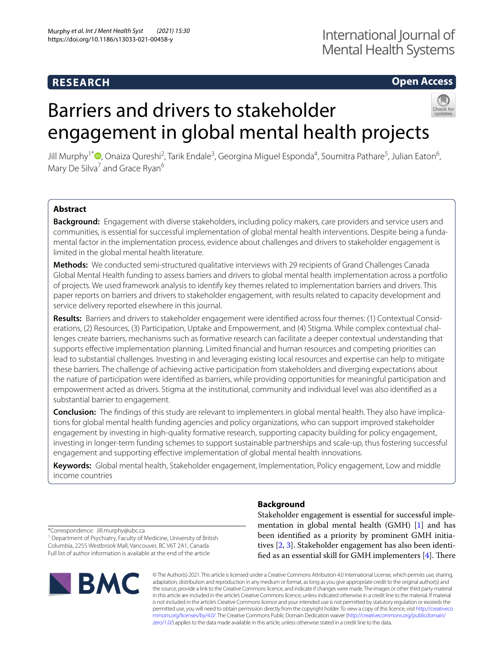# **RESEARCH**

# **Open Access**

# Barriers and drivers to stakeholder engagement in global mental health projects



Jill Murphy<sup>1\*</sup>®[,](http://orcid.org/0000-0001-8613-4429) Onaiza Qureshi<sup>2</sup>, Tarik Endale<sup>3</sup>, Georgina Miguel Esponda<sup>4</sup>, Soumitra Pathare<sup>5</sup>, Julian Eaton<sup>6</sup>, Mary De Silva<sup>7</sup> and Grace Ryan<sup>6</sup>

# **Abstract**

**Background:** Engagement with diverse stakeholders, including policy makers, care providers and service users and communities, is essential for successful implementation of global mental health interventions. Despite being a fundamental factor in the implementation process, evidence about challenges and drivers to stakeholder engagement is limited in the global mental health literature.

**Methods:** We conducted semi-structured qualitative interviews with 29 recipients of Grand Challenges Canada Global Mental Health funding to assess barriers and drivers to global mental health implementation across a portfolio of projects. We used framework analysis to identify key themes related to implementation barriers and drivers. This paper reports on barriers and drivers to stakeholder engagement, with results related to capacity development and service delivery reported elsewhere in this journal.

**Results:** Barriers and drivers to stakeholder engagement were identifed across four themes: (1) Contextual Considerations, (2) Resources, (3) Participation, Uptake and Empowerment, and (4) Stigma. While complex contextual challenges create barriers, mechanisms such as formative research can facilitate a deeper contextual understanding that supports efective implementation planning. Limited fnancial and human resources and competing priorities can lead to substantial challenges. Investing in and leveraging existing local resources and expertise can help to mitigate these barriers. The challenge of achieving active participation from stakeholders and diverging expectations about the nature of participation were identifed as barriers, while providing opportunities for meaningful participation and empowerment acted as drivers. Stigma at the institutional, community and individual level was also identifed as a substantial barrier to engagement.

**Conclusion:** The fndings of this study are relevant to implementers in global mental health. They also have implications for global mental health funding agencies and policy organizations, who can support improved stakeholder engagement by investing in high-quality formative research, supporting capacity building for policy engagement, investing in longer-term funding schemes to support sustainable partnerships and scale-up, thus fostering successful engagement and supporting efective implementation of global mental health innovations.

**Keywords:** Global mental health, Stakeholder engagement, Implementation, Policy engagement, Low and middle income countries

**Background**

Stakeholder engagement is essential for successful implementation in global mental health (GMH) [[1\]](#page-11-0) and has been identifed as a priority by prominent GMH initiatives [\[2](#page-11-1), [3\]](#page-11-2). Stakeholder engagement has also been identified as an essential skill for GMH implementers  $[4]$  $[4]$ . There

\*Correspondence: Jill.murphy@ubc.ca

<sup>1</sup> Department of Psychiatry, Faculty of Medicine, University of British Columbia, 2255 Westbrook Mall, Vancouver, BC V6T 2A1, Canada Full list of author information is available at the end of the article



© The Author(s) 2021. This article is licensed under a Creative Commons Attribution 4.0 International License, which permits use, sharing, adaptation, distribution and reproduction in any medium or format, as long as you give appropriate credit to the original author(s) and the source, provide a link to the Creative Commons licence, and indicate if changes were made. The images or other third party material in this article are included in the article's Creative Commons licence, unless indicated otherwise in a credit line to the material. If material is not included in the article's Creative Commons licence and your intended use is not permitted by statutory regulation or exceeds the permitted use, you will need to obtain permission directly from the copyright holder. To view a copy of this licence, visit [http://creativeco](http://creativecommons.org/licenses/by/4.0/) [mmons.org/licenses/by/4.0/.](http://creativecommons.org/licenses/by/4.0/) The Creative Commons Public Domain Dedication waiver ([http://creativecommons.org/publicdomain/](http://creativecommons.org/publicdomain/zero/1.0/) [zero/1.0/\)](http://creativecommons.org/publicdomain/zero/1.0/) applies to the data made available in this article, unless otherwise stated in a credit line to the data.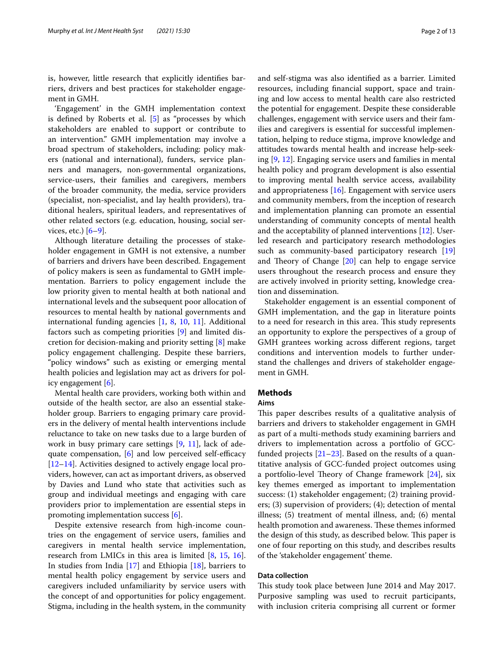is, however, little research that explicitly identifes barriers, drivers and best practices for stakeholder engagement in GMH.

'Engagement' in the GMH implementation context is defned by Roberts et al. [\[5](#page-11-4)] as "processes by which stakeholders are enabled to support or contribute to an intervention." GMH implementation may involve a broad spectrum of stakeholders, including: policy makers (national and international), funders, service planners and managers, non-governmental organizations, service-users, their families and caregivers, members of the broader community, the media, service providers (specialist, non-specialist, and lay health providers), traditional healers, spiritual leaders, and representatives of other related sectors (e.g. education, housing, social services, etc.)  $[6-9]$  $[6-9]$  $[6-9]$ .

Although literature detailing the processes of stakeholder engagement in GMH is not extensive, a number of barriers and drivers have been described. Engagement of policy makers is seen as fundamental to GMH implementation. Barriers to policy engagement include the low priority given to mental health at both national and international levels and the subsequent poor allocation of resources to mental health by national governments and international funding agencies [\[1](#page-11-0), [8](#page-11-7), [10](#page-11-8), [11\]](#page-11-9). Additional factors such as competing priorities [[9\]](#page-11-6) and limited discretion for decision-making and priority setting [[8\]](#page-11-7) make policy engagement challenging. Despite these barriers, "policy windows" such as existing or emerging mental health policies and legislation may act as drivers for policy engagement [[6\]](#page-11-5).

Mental health care providers, working both within and outside of the health sector, are also an essential stakeholder group. Barriers to engaging primary care providers in the delivery of mental health interventions include reluctance to take on new tasks due to a large burden of work in busy primary care settings [\[9](#page-11-6), [11\]](#page-11-9), lack of adequate compensation,  $[6]$  $[6]$  and low perceived self-efficacy [[12–](#page-11-10)[14](#page-12-0)]. Activities designed to actively engage local providers, however, can act as important drivers, as observed by Davies and Lund who state that activities such as group and individual meetings and engaging with care providers prior to implementation are essential steps in promoting implementation success [[6](#page-11-5)].

Despite extensive research from high-income countries on the engagement of service users, families and caregivers in mental health service implementation, research from LMICs in this area is limited [[8,](#page-11-7) [15](#page-12-1), [16](#page-12-2)]. In studies from India [\[17](#page-12-3)] and Ethiopia [\[18\]](#page-12-4), barriers to mental health policy engagement by service users and caregivers included unfamiliarity by service users with the concept of and opportunities for policy engagement. Stigma, including in the health system, in the community and self-stigma was also identifed as a barrier. Limited resources, including fnancial support, space and training and low access to mental health care also restricted the potential for engagement. Despite these considerable challenges, engagement with service users and their families and caregivers is essential for successful implementation, helping to reduce stigma, improve knowledge and attitudes towards mental health and increase help-seeking [\[9](#page-11-6), [12](#page-11-10)]. Engaging service users and families in mental health policy and program development is also essential to improving mental health service access, availability and appropriateness  $[16]$  $[16]$ . Engagement with service users and community members, from the inception of research and implementation planning can promote an essential understanding of community concepts of mental health and the acceptability of planned interventions [\[12](#page-11-10)]. Userled research and participatory research methodologies such as community-based participatory research [[19](#page-12-5)] and Theory of Change  $[20]$  can help to engage service users throughout the research process and ensure they are actively involved in priority setting, knowledge creation and dissemination.

Stakeholder engagement is an essential component of GMH implementation, and the gap in literature points to a need for research in this area. This study represents an opportunity to explore the perspectives of a group of GMH grantees working across diferent regions, target conditions and intervention models to further understand the challenges and drivers of stakeholder engagement in GMH.

# **Methods**

# **Aims**

This paper describes results of a qualitative analysis of barriers and drivers to stakeholder engagement in GMH as part of a multi-methods study examining barriers and drivers to implementation across a portfolio of GCCfunded projects  $[21-23]$  $[21-23]$  $[21-23]$ . Based on the results of a quantitative analysis of GCC-funded project outcomes using a portfolio-level Theory of Change framework  $[24]$  $[24]$ , six key themes emerged as important to implementation success: (1) stakeholder engagement; (2) training providers; (3) supervision of providers; (4); detection of mental illness; (5) treatment of mental illness, and; (6) mental health promotion and awareness. These themes informed the design of this study, as described below. This paper is one of four reporting on this study, and describes results of the 'stakeholder engagement' theme.

# **Data collection**

This study took place between June 2014 and May 2017. Purposive sampling was used to recruit participants, with inclusion criteria comprising all current or former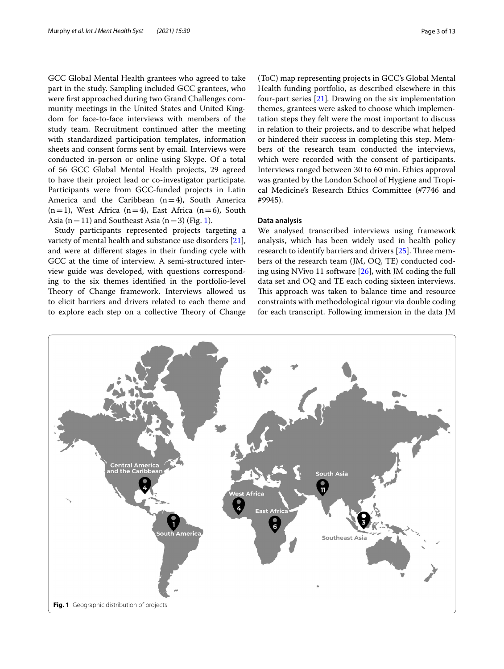GCC Global Mental Health grantees who agreed to take part in the study. Sampling included GCC grantees, who were frst approached during two Grand Challenges community meetings in the United States and United Kingdom for face-to-face interviews with members of the study team. Recruitment continued after the meeting with standardized participation templates, information sheets and consent forms sent by email. Interviews were conducted in-person or online using Skype. Of a total of 56 GCC Global Mental Health projects, 29 agreed to have their project lead or co-investigator participate. Participants were from GCC-funded projects in Latin America and the Caribbean  $(n=4)$ , South America  $(n=1)$ , West Africa  $(n=4)$ , East Africa  $(n=6)$ , South Asia ( $n=11$ ) and Southeast Asia ( $n=3$ ) (Fig. [1\)](#page-2-0).

Study participants represented projects targeting a variety of mental health and substance use disorders [\[21](#page-12-7)], and were at diferent stages in their funding cycle with GCC at the time of interview. A semi-structured interview guide was developed, with questions corresponding to the six themes identifed in the portfolio-level Theory of Change framework. Interviews allowed us to elicit barriers and drivers related to each theme and to explore each step on a collective Theory of Change

(ToC) map representing projects in GCC's Global Mental Health funding portfolio, as described elsewhere in this four-part series [\[21\]](#page-12-7)*.* Drawing on the six implementation themes, grantees were asked to choose which implementation steps they felt were the most important to discuss in relation to their projects, and to describe what helped or hindered their success in completing this step. Members of the research team conducted the interviews, which were recorded with the consent of participants. Interviews ranged between 30 to 60 min. Ethics approval was granted by the London School of Hygiene and Tropical Medicine's Research Ethics Committee (#7746 and #9945).

# **Data analysis**

We analysed transcribed interviews using framework analysis, which has been widely used in health policy research to identify barriers and drivers  $[25]$  $[25]$ . Three members of the research team (JM, OQ, TE) conducted coding using NVivo 11 software [\[26](#page-12-11)], with JM coding the full data set and OQ and TE each coding sixteen interviews. This approach was taken to balance time and resource constraints with methodological rigour via double coding for each transcript. Following immersion in the data JM

<span id="page-2-0"></span>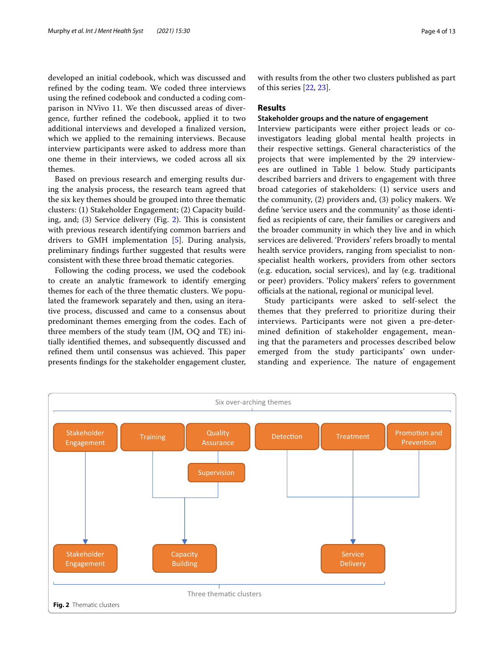developed an initial codebook, which was discussed and refned by the coding team. We coded three interviews using the refned codebook and conducted a coding comparison in NVivo 11. We then discussed areas of divergence, further refned the codebook, applied it to two additional interviews and developed a fnalized version, which we applied to the remaining interviews. Because interview participants were asked to address more than one theme in their interviews, we coded across all six themes.

Based on previous research and emerging results during the analysis process, the research team agreed that the six key themes should be grouped into three thematic clusters: (1) Stakeholder Engagement; (2) Capacity building, and;  $(3)$  Service delivery (Fig. [2](#page-3-0)). This is consistent with previous research identifying common barriers and drivers to GMH implementation [\[5](#page-11-4)]. During analysis, preliminary fndings further suggested that results were consistent with these three broad thematic categories.

Following the coding process, we used the codebook to create an analytic framework to identify emerging themes for each of the three thematic clusters. We populated the framework separately and then, using an iterative process, discussed and came to a consensus about predominant themes emerging from the codes. Each of three members of the study team (JM, OQ and TE) initially identifed themes, and subsequently discussed and refined them until consensus was achieved. This paper presents fndings for the stakeholder engagement cluster, with results from the other two clusters published as part of this series [\[22,](#page-12-12) [23](#page-12-8)].

# **Results**

# **Stakeholder groups and the nature of engagement**

Interview participants were either project leads or coinvestigators leading global mental health projects in their respective settings. General characteristics of the projects that were implemented by the 29 interviewees are outlined in Table [1](#page-4-0) below. Study participants described barriers and drivers to engagement with three broad categories of stakeholders: (1) service users and the community, (2) providers and, (3) policy makers. We defne 'service users and the community' as those identifed as recipients of care, their families or caregivers and the broader community in which they live and in which services are delivered. 'Providers' refers broadly to mental health service providers, ranging from specialist to nonspecialist health workers, providers from other sectors (e.g. education, social services), and lay (e.g. traditional or peer) providers. 'Policy makers' refers to government officials at the national, regional or municipal level.

Study participants were asked to self-select the themes that they preferred to prioritize during their interviews. Participants were not given a pre-determined defnition of stakeholder engagement, meaning that the parameters and processes described below emerged from the study participants' own understanding and experience. The nature of engagement

<span id="page-3-0"></span>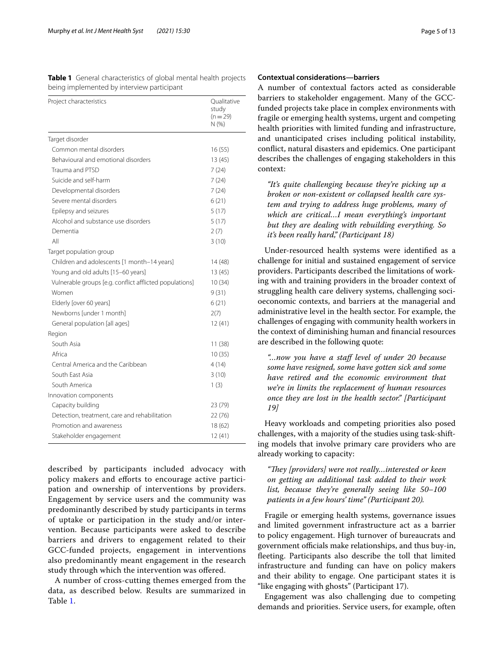<span id="page-4-0"></span>**Table 1** General characteristics of global mental health projects being implemented by interview participant

| Project characteristics                                 | Qualitative<br>study<br>$(n=29)$<br>N (%) |
|---------------------------------------------------------|-------------------------------------------|
| Target disorder                                         |                                           |
| Common mental disorders                                 | 16(55)                                    |
| Behavioural and emotional disorders                     | 13(45)                                    |
| Trauma and PTSD                                         | 7(24)                                     |
| Suicide and self-harm                                   | 7(24)                                     |
| Developmental disorders                                 | 7(24)                                     |
| Severe mental disorders                                 | 6(21)                                     |
| Epilepsy and seizures                                   | 5(17)                                     |
| Alcohol and substance use disorders                     | 5(17)                                     |
| Dementia                                                | 2(7)                                      |
| All                                                     | 3(10)                                     |
| Target population group                                 |                                           |
| Children and adolescents [1 month-14 years]             | 14 (48)                                   |
| Young and old adults [15-60 years]                      | 13(45)                                    |
| Vulnerable groups [e.g. conflict afflicted populations] | 10(34)                                    |
| Women                                                   | 9(31)                                     |
| Elderly [over 60 years]                                 | 6(21)                                     |
| Newborns [under 1 month]                                | 2(7)                                      |
| General population [all ages]                           | 12(41)                                    |
| Region                                                  |                                           |
| South Asia                                              | 11(38)                                    |
| Africa                                                  | 10(35)                                    |
| Central America and the Caribbean                       | 4(14)                                     |
| South East Asia                                         | 3(10)                                     |
| South America                                           | 1(3)                                      |
| Innovation components                                   |                                           |
| Capacity building                                       | 23 (79)                                   |
| Detection, treatment, care and rehabilitation           | 22 (76)                                   |
| Promotion and awareness                                 | 18 (62)                                   |
| Stakeholder engagement                                  | 12(41)                                    |

described by participants included advocacy with policy makers and eforts to encourage active participation and ownership of interventions by providers. Engagement by service users and the community was predominantly described by study participants in terms of uptake or participation in the study and/or intervention. Because participants were asked to describe barriers and drivers to engagement related to their GCC-funded projects, engagement in interventions also predominantly meant engagement in the research study through which the intervention was ofered.

A number of cross-cutting themes emerged from the data, as described below. Results are summarized in Table [1](#page-4-0).

### **Contextual considerations—barriers**

A number of contextual factors acted as considerable barriers to stakeholder engagement. Many of the GCCfunded projects take place in complex environments with fragile or emerging health systems, urgent and competing health priorities with limited funding and infrastructure, and unanticipated crises including political instability, confict, natural disasters and epidemics. One participant describes the challenges of engaging stakeholders in this context:

*"It's quite challenging because they're picking up a broken or non-existent or collapsed health care system and trying to address huge problems, many of which are critical…I mean everything's important but they are dealing with rebuilding everything. So it's been really hard," (Participant 18)*

Under-resourced health systems were identifed as a challenge for initial and sustained engagement of service providers. Participants described the limitations of working with and training providers in the broader context of struggling health care delivery systems, challenging socioeconomic contexts, and barriers at the managerial and administrative level in the health sector. For example, the challenges of engaging with community health workers in the context of diminishing human and fnancial resources are described in the following quote:

*"…now you have a staf level of under 20 because some have resigned, some have gotten sick and some have retired and the economic environment that we're in limits the replacement of human resources once they are lost in the health sector." [Participant 19]*

Heavy workloads and competing priorities also posed challenges, with a majority of the studies using task-shifting models that involve primary care providers who are already working to capacity:

"They [providers] were not really...interested or keen *on getting an additional task added to their work list, because they're generally seeing like 50–100 patients in a few hours' time" (Participant 20).*

Fragile or emerging health systems, governance issues and limited government infrastructure act as a barrier to policy engagement. High turnover of bureaucrats and government officials make relationships, and thus buy-in, feeting. Participants also describe the toll that limited infrastructure and funding can have on policy makers and their ability to engage. One participant states it is "like engaging with ghosts" (Participant 17).

Engagement was also challenging due to competing demands and priorities. Service users, for example, often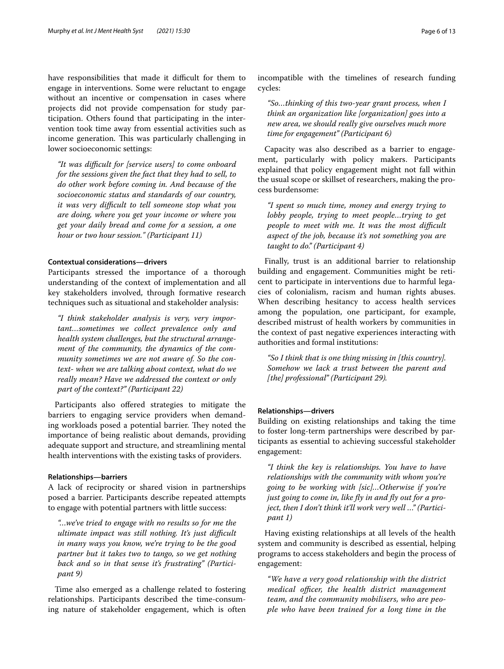have responsibilities that made it difficult for them to engage in interventions. Some were reluctant to engage without an incentive or compensation in cases where projects did not provide compensation for study participation. Others found that participating in the intervention took time away from essential activities such as income generation. This was particularly challenging in lower socioeconomic settings:

*"It was difcult for [service users] to come onboard for the sessions given the fact that they had to sell, to do other work before coming in. And because of the socioeconomic status and standards of our country, it was very difcult to tell someone stop what you are doing, where you get your income or where you get your daily bread and come for a session, a one hour or two hour session." (Participant 11)*

# **Contextual considerations—drivers**

Participants stressed the importance of a thorough understanding of the context of implementation and all key stakeholders involved, through formative research techniques such as situational and stakeholder analysis:

*"I think stakeholder analysis is very, very important…sometimes we collect prevalence only and health system challenges, but the structural arrangement of the community, the dynamics of the community sometimes we are not aware of. So the context- when we are talking about context, what do we really mean? Have we addressed the context or only part of the context?" (Participant 22)*

Participants also ofered strategies to mitigate the barriers to engaging service providers when demanding workloads posed a potential barrier. They noted the importance of being realistic about demands, providing adequate support and structure, and streamlining mental health interventions with the existing tasks of providers.

#### **Relationships—barriers**

A lack of reciprocity or shared vision in partnerships posed a barrier. Participants describe repeated attempts to engage with potential partners with little success:

*"…we've tried to engage with no results so for me the ultimate impact was still nothing. It's just difcult in many ways you know, we're trying to be the good partner but it takes two to tango, so we get nothing back and so in that sense it's frustrating" (Participant 9)*

Time also emerged as a challenge related to fostering relationships. Participants described the time-consuming nature of stakeholder engagement, which is often incompatible with the timelines of research funding cycles:

*"So…thinking of this two-year grant process, when I think an organization like [organization] goes into a new area, we should really give ourselves much more time for engagement" (Participant 6)*

Capacity was also described as a barrier to engagement, particularly with policy makers. Participants explained that policy engagement might not fall within the usual scope or skillset of researchers, making the process burdensome:

*"I spent so much time, money and energy trying to lobby people, trying to meet people…trying to get people to meet with me. It was the most difcult aspect of the job, because it's not something you are taught to do." (Participant 4)*

Finally, trust is an additional barrier to relationship building and engagement. Communities might be reticent to participate in interventions due to harmful legacies of colonialism, racism and human rights abuses. When describing hesitancy to access health services among the population, one participant, for example, described mistrust of health workers by communities in the context of past negative experiences interacting with authorities and formal institutions:

*"So I think that is one thing missing in [this country]. Somehow we lack a trust between the parent and [the] professional" (Participant 29).*

# **Relationships—drivers**

Building on existing relationships and taking the time to foster long-term partnerships were described by participants as essential to achieving successful stakeholder engagement:

*"I think the key is relationships. You have to have relationships with the community with whom you're going to be working with [sic]…Otherwise if you're just going to come in, like fy in and fy out for a project, then I don't think it'll work very well …" (Participant 1)*

Having existing relationships at all levels of the health system and community is described as essential, helping programs to access stakeholders and begin the process of engagement:

*"We have a very good relationship with the district medical officer, the health district management team, and the community mobilisers, who are people who have been trained for a long time in the*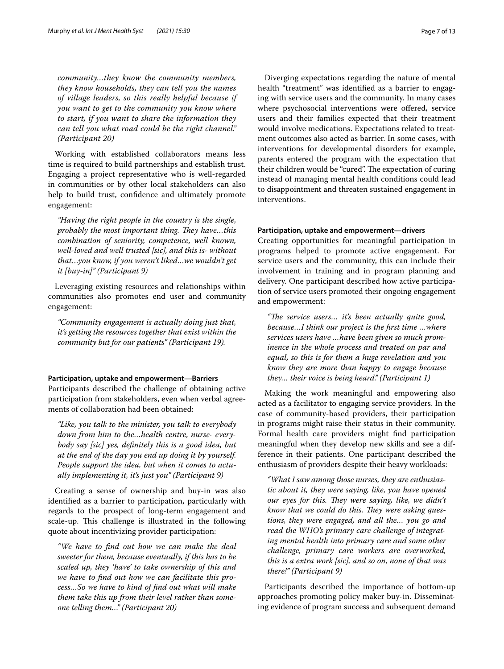*community…they know the community members, they know households, they can tell you the names of village leaders, so this really helpful because if you want to get to the community you know where to start, if you want to share the information they can tell you what road could be the right channel." (Participant 20)*

Working with established collaborators means less time is required to build partnerships and establish trust. Engaging a project representative who is well-regarded in communities or by other local stakeholders can also help to build trust, confidence and ultimately promote engagement:

*"Having the right people in the country is the single, probably the most important thing. They have...this combination of seniority, competence, well known, well-loved and well trusted [sic], and this is- without that…you know, if you weren't liked…we wouldn't get it [buy-in]" (Participant 9)*

Leveraging existing resources and relationships within communities also promotes end user and community engagement:

*"Community engagement is actually doing just that, it's getting the resources together that exist within the community but for our patients" (Participant 19).*

#### **Participation, uptake and empowerment—Barriers**

Participants described the challenge of obtaining active participation from stakeholders, even when verbal agreements of collaboration had been obtained:

*"Like, you talk to the minister, you talk to everybody down from him to the…health centre, nurse- everybody say [sic] yes, defnitely this is a good idea, but at the end of the day you end up doing it by yourself. People support the idea, but when it comes to actually implementing it, it's just you" (Participant 9)*

Creating a sense of ownership and buy-in was also identifed as a barrier to participation, particularly with regards to the prospect of long-term engagement and scale-up. This challenge is illustrated in the following quote about incentivizing provider participation:

*"We have to fnd out how we can make the deal sweeter for them, because eventually, if this has to be scaled up, they 'have' to take ownership of this and we have to fnd out how we can facilitate this process…So we have to kind of fnd out what will make them take this up from their level rather than someone telling them…" (Participant 20)*

Diverging expectations regarding the nature of mental health "treatment" was identifed as a barrier to engaging with service users and the community. In many cases where psychosocial interventions were offered, service users and their families expected that their treatment would involve medications. Expectations related to treatment outcomes also acted as barrier. In some cases, with interventions for developmental disorders for example, parents entered the program with the expectation that their children would be "cured". The expectation of curing instead of managing mental health conditions could lead to disappointment and threaten sustained engagement in interventions.

#### **Participation, uptake and empowerment—drivers**

Creating opportunities for meaningful participation in programs helped to promote active engagement. For service users and the community, this can include their involvement in training and in program planning and delivery. One participant described how active participation of service users promoted their ongoing engagement and empowerment:

"The service users... it's been actually quite good, *because…I think our project is the frst time …where services users have …have been given so much prominence in the whole process and treated on par and equal, so this is for them a huge revelation and you know they are more than happy to engage because they… their voice is being heard." (Participant 1)*

Making the work meaningful and empowering also acted as a facilitator to engaging service providers. In the case of community-based providers, their participation in programs might raise their status in their community. Formal health care providers might fnd participation meaningful when they develop new skills and see a difference in their patients. One participant described the enthusiasm of providers despite their heavy workloads:

*"What I saw among those nurses, they are enthusiastic about it, they were saying, like, you have opened our eyes for this. They were saying, like, we didn't* know that we could do this. They were asking ques*tions, they were engaged, and all the… you go and read the WHO's primary care challenge of integrating mental health into primary care and some other challenge, primary care workers are overworked, this is a extra work [sic], and so on, none of that was there!" (Participant 9)*

Participants described the importance of bottom-up approaches promoting policy maker buy-in. Disseminating evidence of program success and subsequent demand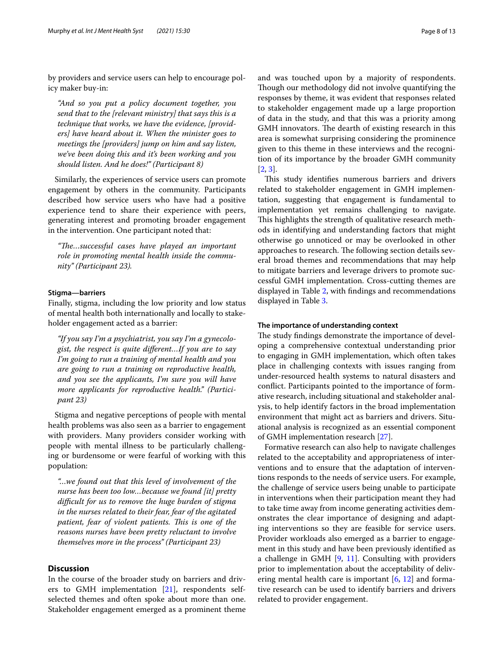by providers and service users can help to encourage policy maker buy-in:

*"And so you put a policy document together, you send that to the [relevant ministry] that says this is a technique that works, we have the evidence, [providers] have heard about it. When the minister goes to meetings the [providers] jump on him and say listen, we've been doing this and it's been working and you should listen. And he does!" (Participant 8)*

Similarly, the experiences of service users can promote engagement by others in the community. Participants described how service users who have had a positive experience tend to share their experience with peers, generating interest and promoting broader engagement in the intervention. One participant noted that:

*"Te…successful cases have played an important role in promoting mental health inside the community" (Participant 23).*

#### **Stigma—barriers**

Finally, stigma, including the low priority and low status of mental health both internationally and locally to stakeholder engagement acted as a barrier:

*"If you say I'm a psychiatrist, you say I'm a gynecologist, the respect is quite diferent…If you are to say I'm going to run a training of mental health and you are going to run a training on reproductive health, and you see the applicants, I'm sure you will have more applicants for reproductive health." (Participant 23)*

Stigma and negative perceptions of people with mental health problems was also seen as a barrier to engagement with providers. Many providers consider working with people with mental illness to be particularly challenging or burdensome or were fearful of working with this population:

*"…we found out that this level of involvement of the nurse has been too low…because we found [it] pretty difcult for us to remove the huge burden of stigma in the nurses related to their fear, fear of the agitated patient, fear of violent patients. This is one of the reasons nurses have been pretty reluctant to involve themselves more in the process" (Participant 23)*

# **Discussion**

In the course of the broader study on barriers and drivers to GMH implementation [[21\]](#page-12-7), respondents selfselected themes and often spoke about more than one. Stakeholder engagement emerged as a prominent theme and was touched upon by a majority of respondents. Though our methodology did not involve quantifying the responses by theme, it was evident that responses related to stakeholder engagement made up a large proportion of data in the study, and that this was a priority among GMH innovators. The dearth of existing research in this area is somewhat surprising considering the prominence given to this theme in these interviews and the recognition of its importance by the broader GMH community [[2,](#page-11-1) [3](#page-11-2)].

This study identifies numerous barriers and drivers related to stakeholder engagement in GMH implementation, suggesting that engagement is fundamental to implementation yet remains challenging to navigate. This highlights the strength of qualitative research methods in identifying and understanding factors that might otherwise go unnoticed or may be overlooked in other approaches to research. The following section details several broad themes and recommendations that may help to mitigate barriers and leverage drivers to promote successful GMH implementation. Cross-cutting themes are displayed in Table [2,](#page-8-0) with fndings and recommendations displayed in Table [3](#page-10-0).

#### **The importance of understanding context**

The study findings demonstrate the importance of developing a comprehensive contextual understanding prior to engaging in GMH implementation, which often takes place in challenging contexts with issues ranging from under-resourced health systems to natural disasters and confict. Participants pointed to the importance of formative research, including situational and stakeholder analysis, to help identify factors in the broad implementation environment that might act as barriers and drivers. Situational analysis is recognized as an essential component of GMH implementation research [\[27\]](#page-12-13).

Formative research can also help to navigate challenges related to the acceptability and appropriateness of interventions and to ensure that the adaptation of interventions responds to the needs of service users. For example, the challenge of service users being unable to participate in interventions when their participation meant they had to take time away from income generating activities demonstrates the clear importance of designing and adapting interventions so they are feasible for service users. Provider workloads also emerged as a barrier to engagement in this study and have been previously identifed as a challenge in GMH [[9](#page-11-6), [11](#page-11-9)]. Consulting with providers prior to implementation about the acceptability of delivering mental health care is important  $[6, 12]$  $[6, 12]$  $[6, 12]$  $[6, 12]$  and formative research can be used to identify barriers and drivers related to provider engagement.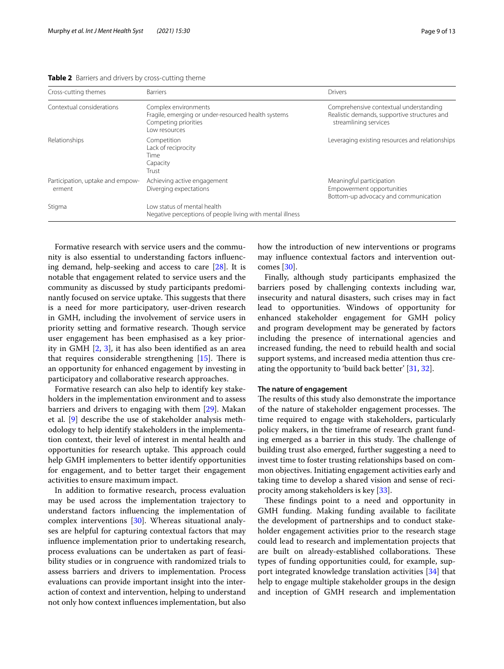<span id="page-8-0"></span>

| Cross-cutting themes                       | <b>Barriers</b>                                                                                                       | Drivers                                                                                                         |
|--------------------------------------------|-----------------------------------------------------------------------------------------------------------------------|-----------------------------------------------------------------------------------------------------------------|
| Contextual considerations                  | Complex environments<br>Fragile, emerging or under-resourced health systems<br>Competing priorities<br>l ow resources | Comprehensive contextual understanding<br>Realistic demands, supportive structures and<br>streamlining services |
| Relationships                              | Competition<br>Lack of reciprocity<br>Time<br>Capacity<br>Trust                                                       | Leveraging existing resources and relationships                                                                 |
| Participation, uptake and empow-<br>erment | Achieving active engagement<br>Diverging expectations                                                                 | Meaningful participation<br>Empowerment opportunities<br>Bottom-up advocacy and communication                   |
| Stigma                                     | Low status of mental health<br>Negative perceptions of people living with mental illness                              |                                                                                                                 |

Formative research with service users and the community is also essential to understanding factors infuencing demand, help-seeking and access to care [\[28](#page-12-14)]. It is notable that engagement related to service users and the community as discussed by study participants predominantly focused on service uptake. This suggests that there is a need for more participatory, user-driven research in GMH, including the involvement of service users in priority setting and formative research. Though service user engagement has been emphasised as a key priority in GMH [[2](#page-11-1), [3](#page-11-2)], it has also been identifed as an area that requires considerable strengthening  $[15]$ . There is an opportunity for enhanced engagement by investing in participatory and collaborative research approaches.

Formative research can also help to identify key stakeholders in the implementation environment and to assess barriers and drivers to engaging with them [\[29](#page-12-15)]. Makan et al. [\[9\]](#page-11-6) describe the use of stakeholder analysis methodology to help identify stakeholders in the implementation context, their level of interest in mental health and opportunities for research uptake. This approach could help GMH implementers to better identify opportunities for engagement, and to better target their engagement activities to ensure maximum impact.

In addition to formative research, process evaluation may be used across the implementation trajectory to understand factors infuencing the implementation of complex interventions [[30\]](#page-12-16). Whereas situational analyses are helpful for capturing contextual factors that may infuence implementation prior to undertaking research, process evaluations can be undertaken as part of feasibility studies or in congruence with randomized trials to assess barriers and drivers to implementation. Process evaluations can provide important insight into the interaction of context and intervention, helping to understand not only how context infuences implementation, but also how the introduction of new interventions or programs may infuence contextual factors and intervention outcomes [\[30](#page-12-16)].

Finally, although study participants emphasized the barriers posed by challenging contexts including war, insecurity and natural disasters, such crises may in fact lead to opportunities. Windows of opportunity for enhanced stakeholder engagement for GMH policy and program development may be generated by factors including the presence of international agencies and increased funding, the need to rebuild health and social support systems, and increased media attention thus creating the opportunity to 'build back better' [[31](#page-12-17), [32\]](#page-12-18).

#### **The nature of engagement**

The results of this study also demonstrate the importance of the nature of stakeholder engagement processes. The time required to engage with stakeholders, particularly policy makers, in the timeframe of research grant funding emerged as a barrier in this study. The challenge of building trust also emerged, further suggesting a need to invest time to foster trusting relationships based on common objectives. Initiating engagement activities early and taking time to develop a shared vision and sense of reciprocity among stakeholders is key [\[33](#page-12-19)].

These findings point to a need and opportunity in GMH funding. Making funding available to facilitate the development of partnerships and to conduct stakeholder engagement activities prior to the research stage could lead to research and implementation projects that are built on already-established collaborations. These types of funding opportunities could, for example, support integrated knowledge translation activities [\[34](#page-12-20)] that help to engage multiple stakeholder groups in the design and inception of GMH research and implementation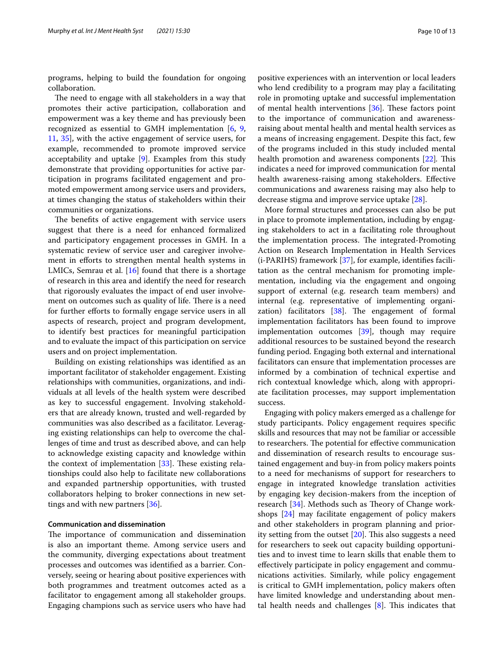programs, helping to build the foundation for ongoing collaboration.

The need to engage with all stakeholders in a way that promotes their active participation, collaboration and empowerment was a key theme and has previously been recognized as essential to GMH implementation [[6,](#page-11-5) [9](#page-11-6), [11,](#page-11-9) [35\]](#page-12-21), with the active engagement of service users, for example, recommended to promote improved service acceptability and uptake [[9\]](#page-11-6). Examples from this study demonstrate that providing opportunities for active participation in programs facilitated engagement and promoted empowerment among service users and providers, at times changing the status of stakeholders within their communities or organizations.

The benefits of active engagement with service users suggest that there is a need for enhanced formalized and participatory engagement processes in GMH. In a systematic review of service user and caregiver involvement in efforts to strengthen mental health systems in LMICs, Semrau et al. [[16](#page-12-2)] found that there is a shortage of research in this area and identify the need for research that rigorously evaluates the impact of end user involvement on outcomes such as quality of life. There is a need for further efforts to formally engage service users in all aspects of research, project and program development, to identify best practices for meaningful participation and to evaluate the impact of this participation on service users and on project implementation.

Building on existing relationships was identifed as an important facilitator of stakeholder engagement. Existing relationships with communities, organizations, and individuals at all levels of the health system were described as key to successful engagement. Involving stakeholders that are already known, trusted and well-regarded by communities was also described as a facilitator. Leveraging existing relationships can help to overcome the challenges of time and trust as described above, and can help to acknowledge existing capacity and knowledge within the context of implementation  $[33]$  $[33]$  $[33]$ . These existing relationships could also help to facilitate new collaborations and expanded partnership opportunities, with trusted collaborators helping to broker connections in new settings and with new partners [\[36](#page-12-22)].

#### **Communication and dissemination**

The importance of communication and dissemination is also an important theme. Among service users and the community, diverging expectations about treatment processes and outcomes was identifed as a barrier. Conversely, seeing or hearing about positive experiences with both programmes and treatment outcomes acted as a facilitator to engagement among all stakeholder groups. Engaging champions such as service users who have had positive experiences with an intervention or local leaders who lend credibility to a program may play a facilitating role in promoting uptake and successful implementation of mental health interventions  $[36]$  $[36]$ . These factors point to the importance of communication and awarenessraising about mental health and mental health services as a means of increasing engagement. Despite this fact, few of the programs included in this study included mental health promotion and awareness components [\[22](#page-12-12)]. This indicates a need for improved communication for mental health awareness-raising among stakeholders. Efective communications and awareness raising may also help to decrease stigma and improve service uptake [[28](#page-12-14)].

More formal structures and processes can also be put in place to promote implementation, including by engaging stakeholders to act in a facilitating role throughout the implementation process. The integrated-Promoting Action on Research Implementation in Health Services (i-PARIHS) framework [\[37](#page-12-23)], for example, identifes facilitation as the central mechanism for promoting implementation, including via the engagement and ongoing support of external (e.g. research team members) and internal (e.g. representative of implementing organization) facilitators  $[38]$  $[38]$ . The engagement of formal implementation facilitators has been found to improve implementation outcomes [[39\]](#page-12-25), though may require additional resources to be sustained beyond the research funding period. Engaging both external and international facilitators can ensure that implementation processes are informed by a combination of technical expertise and rich contextual knowledge which, along with appropriate facilitation processes, may support implementation success.

Engaging with policy makers emerged as a challenge for study participants. Policy engagement requires specifc skills and resources that may not be familiar or accessible to researchers. The potential for effective communication and dissemination of research results to encourage sustained engagement and buy-in from policy makers points to a need for mechanisms of support for researchers to engage in integrated knowledge translation activities by engaging key decision-makers from the inception of research [[34](#page-12-20)]. Methods such as Theory of Change workshops [[24](#page-12-9)] may facilitate engagement of policy makers and other stakeholders in program planning and priority setting from the outset  $[20]$  $[20]$ . This also suggests a need for researchers to seek out capacity building opportunities and to invest time to learn skills that enable them to efectively participate in policy engagement and communications activities. Similarly, while policy engagement is critical to GMH implementation, policy makers often have limited knowledge and understanding about mental health needs and challenges  $[8]$  $[8]$ . This indicates that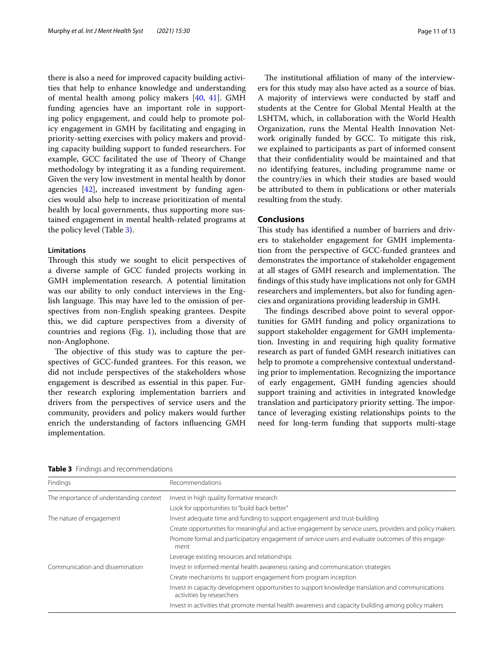there is also a need for improved capacity building activities that help to enhance knowledge and understanding of mental health among policy makers [[40](#page-12-26), [41\]](#page-12-27). GMH funding agencies have an important role in supporting policy engagement, and could help to promote policy engagement in GMH by facilitating and engaging in priority-setting exercises with policy makers and providing capacity building support to funded researchers. For example, GCC facilitated the use of Theory of Change methodology by integrating it as a funding requirement. Given the very low investment in mental health by donor agencies [[42\]](#page-12-28), increased investment by funding agencies would also help to increase prioritization of mental health by local governments, thus supporting more sustained engagement in mental health-related programs at the policy level (Table [3](#page-10-0)).

# **Limitations**

Through this study we sought to elicit perspectives of a diverse sample of GCC funded projects working in GMH implementation research. A potential limitation was our ability to only conduct interviews in the English language. This may have led to the omission of perspectives from non-English speaking grantees. Despite this, we did capture perspectives from a diversity of countries and regions (Fig. [1](#page-2-0)), including those that are non-Anglophone.

The objective of this study was to capture the perspectives of GCC-funded grantees. For this reason, we did not include perspectives of the stakeholders whose engagement is described as essential in this paper. Further research exploring implementation barriers and drivers from the perspectives of service users and the community, providers and policy makers would further enrich the understanding of factors infuencing GMH implementation.

The institutional affiliation of many of the interviewers for this study may also have acted as a source of bias. A majority of interviews were conducted by staf and students at the Centre for Global Mental Health at the LSHTM, which, in collaboration with the World Health Organization, runs the Mental Health Innovation Network originally funded by GCC. To mitigate this risk, we explained to participants as part of informed consent that their confdentiality would be maintained and that no identifying features, including programme name or the country/ies in which their studies are based would be attributed to them in publications or other materials resulting from the study.

# **Conclusions**

This study has identified a number of barriers and drivers to stakeholder engagement for GMH implementation from the perspective of GCC-funded grantees and demonstrates the importance of stakeholder engagement at all stages of GMH research and implementation. The fndings of this study have implications not only for GMH researchers and implementers, but also for funding agencies and organizations providing leadership in GMH.

The findings described above point to several opportunities for GMH funding and policy organizations to support stakeholder engagement for GMH implementation. Investing in and requiring high quality formative research as part of funded GMH research initiatives can help to promote a comprehensive contextual understanding prior to implementation. Recognizing the importance of early engagement, GMH funding agencies should support training and activities in integrated knowledge translation and participatory priority setting. The importance of leveraging existing relationships points to the need for long-term funding that supports multi-stage

<span id="page-10-0"></span>

| Table 3 Findings and recommendations |  |
|--------------------------------------|--|
|--------------------------------------|--|

| Findings                                | Recommendations                                                                                                               |
|-----------------------------------------|-------------------------------------------------------------------------------------------------------------------------------|
| The importance of understanding context | Invest in high quality formative research                                                                                     |
|                                         | Look for opportunities to "build back better"                                                                                 |
| The nature of engagement                | Invest adequate time and funding to support engagement and trust-building                                                     |
|                                         | Create opportunities for meaningful and active engagement by service users, providers and policy makers                       |
|                                         | Promote formal and participatory engagement of service users and evaluate outcomes of this engage-<br>ment                    |
|                                         | Leverage existing resources and relationships                                                                                 |
| Communication and dissemination         | Invest in informed mental health awareness raising and communication strategies                                               |
|                                         | Create mechanisms to support engagement from program inception                                                                |
|                                         | Invest in capacity development opportunities to support knowledge translation and communications<br>activities by researchers |
|                                         | Invest in activities that promote mental health awareness and capacity building among policy makers                           |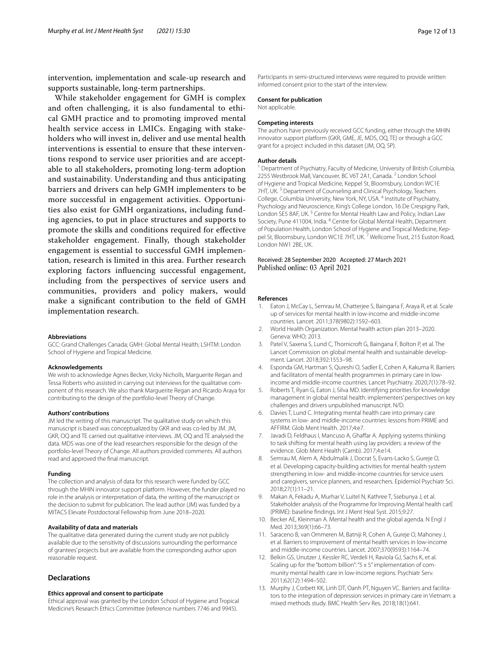intervention, implementation and scale-up research and supports sustainable, long-term partnerships.

While stakeholder engagement for GMH is complex and often challenging, it is also fundamental to ethical GMH practice and to promoting improved mental health service access in LMICs. Engaging with stakeholders who will invest in, deliver and use mental health interventions is essential to ensure that these interventions respond to service user priorities and are acceptable to all stakeholders, promoting long-term adoption and sustainability. Understanding and thus anticipating barriers and drivers can help GMH implementers to be more successful in engagement activities. Opportunities also exist for GMH organizations, including funding agencies, to put in place structures and supports to promote the skills and conditions required for efective stakeholder engagement. Finally, though stakeholder engagement is essential to successful GMH implementation, research is limited in this area. Further research exploring factors infuencing successful engagement, including from the perspectives of service users and communities, providers and policy makers, would make a signifcant contribution to the feld of GMH implementation research.

#### **Abbreviations**

GCC: Grand Challenges Canada; GMH: Global Mental Health; LSHTM: London School of Hygiene and Tropical Medicine.

#### **Acknowledgements**

We wish to acknowledge Agnes Becker, Vicky Nicholls, Marguerite Regan and Tessa Roberts who assisted in carrying out interviews for the qualitative component of this research. We also thank Marguerite Regan and Ricardo Araya for contributing to the design of the portfolio-level Theory of Change.

#### **Authors' contributions**

JM led the writing of this manuscript. The qualitative study on which this manuscript is based was conceptualized by GKR and was co-led by JM. JM, GKR, OQ and TE carried out qualitative interviews. JM, OQ and TE analysed the data. MDS was one of the lead researchers responsible for the design of the portfolio-level Theory of Change. All authors provided comments. All authors read and approved the fnal manuscript.

#### **Funding**

The collection and analysis of data for this research were funded by GCC through the MHIN innovator support platform. However, the funder played no role in the analysis or interpretation of data, the writing of the manuscript or the decision to submit for publication. The lead author (JM) was funded by a MITACS Elevate Postdoctoral Fellowship from June 2018–2020.

#### **Availability of data and materials**

The qualitative data generated during the current study are not publicly available due to the sensitivity of discussions surrounding the performance of grantees' projects but are available from the corresponding author upon reasonable request.

# **Declarations**

#### **Ethics approval and consent to participate**

Ethical approval was granted by the London School of Hygiene and Tropical Medicine's Research Ethics Committee (reference numbers 7746 and 9945).

Participants in semi-structured interviews were required to provide written informed consent prior to the start of the interview.

#### **Consent for publication**

Not applicable.

#### **Competing interests**

The authors have previously received GCC funding, either through the MHIN innovator support platform (GKR, GME, JE, MDS, OQ, TE) or through a GCC grant for a project included in this dataset (JM, OQ, SP).

#### **Author details**

<sup>1</sup> Department of Psychiatry, Faculty of Medicine, University of British Columbia, 2255 Westbrook Mall, Vancouver, BC V6T 2A1, Canada. <sup>2</sup> London School of Hygiene and Tropical Medicine, Keppel St, Bloomsbury, London WC1E 7HT, UK.<sup>3</sup> Department of Counseling and Clinical Psychology, Teachers College, Columbia University, New York, NY, USA. <sup>4</sup> Institute of Psychiatry, Psychology and Neuroscience, King's College London, 16 De Crespigny Park, London SE5 8AF, UK.<sup>5</sup> Centre for Mental Health Law and Policy, Indian Law Society, Pune 411004, India. <sup>6</sup> Centre for Global Mental Health, Department of Population Health, London School of Hygiene and Tropical Medicine, Keppel St, Bloomsbury, London WC1E 7HT, UK.<sup>7</sup> Wellcome Trust, 215 Euston Road, London NW1 2BE, UK.

#### Received: 28 September 2020 Accepted: 27 March 2021 Published online: 03 April 2021

#### **References**

- <span id="page-11-0"></span>1. Eaton J, McCay L, Semrau M, Chatterjee S, Baingana F, Araya R, et al. Scale up of services for mental health in low-income and middle-income countries. Lancet. 2011;378(9802):1592–603.
- <span id="page-11-1"></span>2. World Health Organization. Mental health action plan 2013–2020. Geneva: WHO; 2013.
- <span id="page-11-2"></span>3. Patel V, Saxena S, Lund C, Thornicroft G, Baingana F, Bolton P, et al. The Lancet Commission on global mental health and sustainable development. Lancet. 2018;392:1553–98.
- <span id="page-11-3"></span>4. Esponda GM, Hartman S, Qureshi O, Sadler E, Cohen A, Kakuma R. Barriers and facilitators of mental health programmes in primary care in lowincome and middle-income countries. Lancet Psychiatry. 2020;7(1):78–92.
- <span id="page-11-4"></span>5. Roberts T, Ryan G, Eaton J, Silva MD. Identifying priorities for knowledge management in global mental health: implementers' perspectives on key challenges and drivers unpublished manuscript. N/D.
- <span id="page-11-5"></span>6. Davies T, Lund C. Integrating mental health care into primary care systems in low- and middle-income countries: lessons from PRIME and AFFIRM. Glob Ment Health. 2017;4:e7.
- 7. Javadi D, Feldhaus I, Mancuso A, Ghaffar A. Applying systems thinking to task shifting for mental health using lay providers: a review of the evidence. Glob Ment Health (Camb). 2017;4:e14.
- <span id="page-11-7"></span>8. Semrau M, Alem A, Abdulmalik J, Docrat S, Evans-Lacko S, Gureje O, et al. Developing capacity-building activities for mental health system strengthening in low- and middle-income countries for service users and caregivers, service planners, and researchers. Epidemiol Psychiatr Sci. 2018;27(1):11–21.
- <span id="page-11-6"></span>9. Makan A, Fekadu A, Murhar V, Luitel N, Kathree T, Ssebunya J, et al. Stakeholder analysis of the Programme for Improving Mental health carE (PRIME): baseline fndings. Int J Ment Heal Syst. 2015;9:27.
- <span id="page-11-8"></span>10. Becker AE, Kleinman A. Mental health and the global agenda. N Engl J Med. 2013;369(1):66–73.
- <span id="page-11-9"></span>11. Saraceno B, van Ommeren M, Batniji R, Cohen A, Gureje O, Mahoney J, et al. Barriers to improvement of mental health services in low-income and middle-income countries. Lancet. 2007;370(9593):1164–74.
- <span id="page-11-10"></span>12. Belkin GS, Unutzer J, Kessler RC, Verdeli H, Raviola GJ, Sachs K, et al. Scaling up for the "bottom billion": "5 x 5" implementation of community mental health care in low-income regions. Psychiatr Serv. 2011;62(12):1494–502.
- 13. Murphy J, Corbett KK, Linh DT, Oanh PT, Nguyen VC. Barriers and facilitators to the integration of depression services in primary care in Vietnam: a mixed methods study. BMC Health Serv Res. 2018;18(1):641.